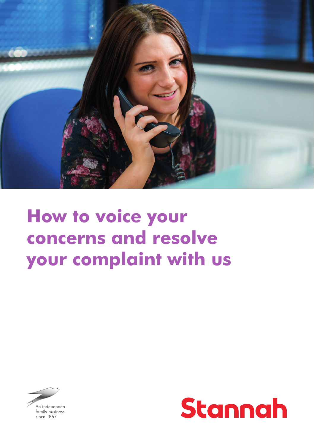

# **How to voice your concerns and resolve your complaint with us**



An independen family business since 1867

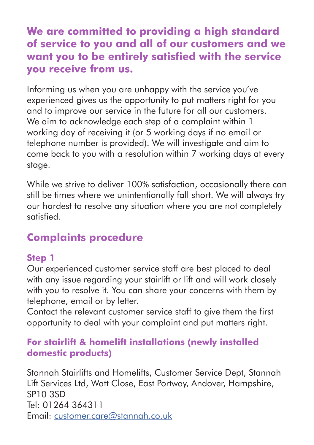## **We are committed to providing a high standard of service to you and all of our customers and we want you to be entirely satisfied with the service you receive from us.**

Informing us when you are unhappy with the service you've experienced gives us the opportunity to put matters right for you and to improve our service in the future for all our customers. We aim to acknowledge each step of a complaint within 1 working day of receiving it (or 5 working days if no email or telephone number is provided). We will investigate and aim to come back to you with a resolution within 7 working days at every stage.

While we strive to deliver 100% satisfaction, occasionally there can still be times where we unintentionally fall short. We will always try our hardest to resolve any situation where you are not completely satisfied.

# **Complaints procedure**

#### **Step 1**

Our experienced customer service staff are best placed to deal with any issue regarding your stairlift or lift and will work closely with you to resolve it. You can share your concerns with them by telephone, email or by letter.

Contact the relevant customer service staff to give them the first opportunity to deal with your complaint and put matters right.

#### **For stairlift & homelift installations (newly installed domestic products)**

Stannah Stairlifts and Homelifts, Customer Service Dept, Stannah Lift Services Ltd, Watt Close, East Portway, Andover, Hampshire, SP10 3SD Tel: 01264 364311 Email: customer.care@stannah.co.uk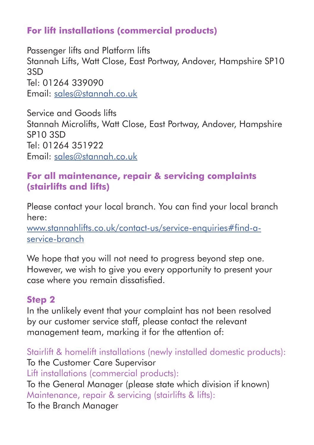### **For lift installations (commercial products)**

Passenger lifts and Platform lifts Stannah Lifts, Watt Close, East Portway, Andover, Hampshire SP10 3SD Tel: 01264 339090 Email: sales@stannah.co.uk

Service and Goods lifts Stannah Microlifts, Watt Close, East Portway, Andover, Hampshire SP10 3SD Tel: 01264 351922 Email: sales@stannah.co.uk

#### **For all maintenance, repair & servicing complaints (stairlifts and lifts)**

Please contact your local branch. You can find your local branch here:

www.stannahlifts.co.uk/contact-us/service-enquiries#find-aservice-branch

We hope that you will not need to progress beyond step one. However, we wish to give you every opportunity to present your case where you remain dissatisfied.

#### **Step 2**

In the unlikely event that your complaint has not been resolved by our customer service staff, please contact the relevant management team, marking it for the attention of:

Stairlift & homelift installations (newly installed domestic products): To the Customer Care Supervisor Lift installations (commercial products): To the General Manager (please state which division if known) Maintenance, repair & servicing (stairlifts & lifts): To the Branch Manager